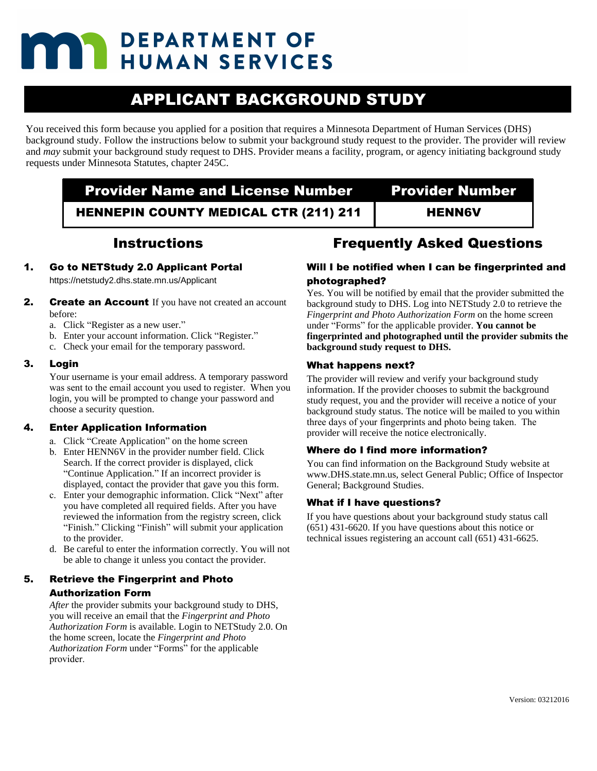## **DEPARTMENT OF THE PEPARTMENT OF SERVICES**

## APPLICANT BACKGROUND STUDY

You received this form because you applied for a position that requires a Minnesota Department of Human Services (DHS) background study. Follow the instructions below to submit your background study request to the provider. The provider will review and *may* submit your background study request to DHS. Provider means a facility, program, or agency initiating background study requests under Minnesota Statutes, chapter 245C.

## **Provider Name and License Number Provider Number** HENNEPIN COUNTY MEDICAL CTR (211) 211 | HENN6V

### Instructions

1. Go to NETStudy 2.0 Applicant Portal

https://netstudy2.dhs.state.mn.us/Applicant

- **2.** Create an Account If you have not created an account before:
	- a. Click "Register as a new user."
	- b. Enter your account information. Click "Register."
	- c. Check your email for the temporary password.

#### 3. Login

Your username is your email address. A temporary password was sent to the email account you used to register. When you login, you will be prompted to change your password and choose a security question.

#### 4. Enter Application Information

- a. Click "Create Application" on the home screen
- b. Enter HENN6V in the provider number field. Click Search. If the correct provider is displayed, click "Continue Application." If an incorrect provider is displayed, contact the provider that gave you this form.
- c. Enter your demographic information. Click "Next" after you have completed all required fields. After you have reviewed the information from the registry screen, click "Finish." Clicking "Finish" will submit your application to the provider.
- d. Be careful to enter the information correctly. You will not be able to change it unless you contact the provider.

#### 5. Retrieve the Fingerprint and Photo Authorization Form

*After* the provider submits your background study to DHS, you will receive an email that the *Fingerprint and Photo Authorization Form* is available. Login to NETStudy 2.0. On the home screen, locate the *Fingerprint and Photo Authorization Form* under "Forms" for the applicable provider.

## Frequently Asked Questions

#### Will I be notified when I can be fingerprinted and photographed?

Yes. You will be notified by email that the provider submitted the background study to DHS. Log into NETStudy 2.0 to retrieve the *Fingerprint and Photo Authorization Form* on the home screen under "Forms" for the applicable provider. **You cannot be fingerprinted and photographed until the provider submits the background study request to DHS.**

#### What happens next?

The provider will review and verify your background study information. If the provider chooses to submit the background study request, you and the provider will receive a notice of your background study status. The notice will be mailed to you within three days of your fingerprints and photo being taken. The provider will receive the notice electronically.

#### Where do I find more information?

You can find information on the Background Study website at www.DHS.state.mn.us, select General Public; Office of Inspector General; Background Studies.

#### What if I have questions?

If you have questions about your background study status call (651) 431-6620. If you have questions about this notice or technical issues registering an account call (651) 431-6625.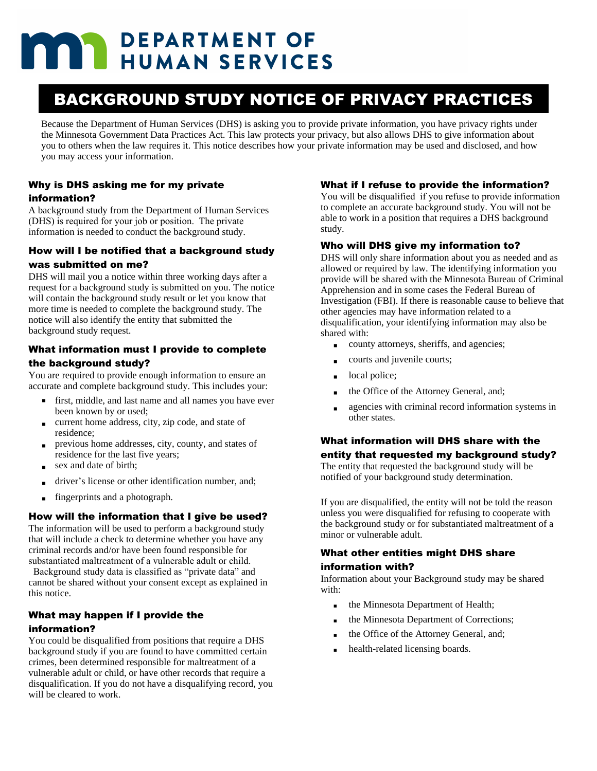# **THE DEPARTMENT OF HUMAN SERVICES**

## BACKGROUND STUDY NOTICE OF PRIVACY PRACTICES

Because the Department of Human Services (DHS) is asking you to provide private information, you have privacy rights under the Minnesota Government Data Practices Act. This law protects your privacy, but also allows DHS to give information about you to others when the law requires it. This notice describes how your private information may be used and disclosed, and how you may access your information.

#### Why is DHS asking me for my private information?

A background study from the Department of Human Services (DHS) is required for your job or position. The private information is needed to conduct the background study.

#### How will I be notified that a background study

#### was submitted on me?

DHS will mail you a notice within three working days after a request for a background study is submitted on you. The notice will contain the background study result or let you know that more time is needed to complete the background study. The notice will also identify the entity that submitted the background study request.

#### What information must I provide to complete the background study?

You are required to provide enough information to ensure an accurate and complete background study. This includes your:

- first, middle, and last name and all names you have ever been known by or used;
- § current home address, city, zip code, and state of residence;
- § previous home addresses, city, county, and states of residence for the last five years;
- § sex and date of birth;
- § driver's license or other identification number, and;
- fingerprints and a photograph.

#### How will the information that I give be used?

The information will be used to perform a background study that will include a check to determine whether you have any criminal records and/or have been found responsible for substantiated maltreatment of a vulnerable adult or child.

 Background study data is classified as "private data" and cannot be shared without your consent except as explained in this notice.

#### What may happen if I provide the information?

You could be disqualified from positions that require a DHS background study if you are found to have committed certain crimes, been determined responsible for maltreatment of a vulnerable adult or child, or have other records that require a disqualification. If you do not have a disqualifying record, you will be cleared to work.

#### What if I refuse to provide the information?

You will be disqualified if you refuse to provide information to complete an accurate background study. You will not be able to work in a position that requires a DHS background study.

#### Who will DHS give my information to?

DHS will only share information about you as needed and as allowed or required by law. The identifying information you provide will be shared with the Minnesota Bureau of Criminal Apprehension and in some cases the Federal Bureau of Investigation (FBI). If there is reasonable cause to believe that other agencies may have information related to a disqualification, your identifying information may also be shared with:

- county attorneys, sheriffs, and agencies;
- § courts and juvenile courts;
- § local police;
- § the Office of the Attorney General, and;
- § agencies with criminal record information systems in other states.

#### What information will DHS share with the entity that requested my background study?

The entity that requested the background study will be notified of your background study determination.

If you are disqualified, the entity will not be told the reason unless you were disqualified for refusing to cooperate with the background study or for substantiated maltreatment of a minor or vulnerable adult.

#### What other entities might DHS share information with?

Information about your Background study may be shared with:

- the Minnesota Department of Health;
- the Minnesota Department of Corrections;
- the Office of the Attorney General, and;
- health-related licensing boards.